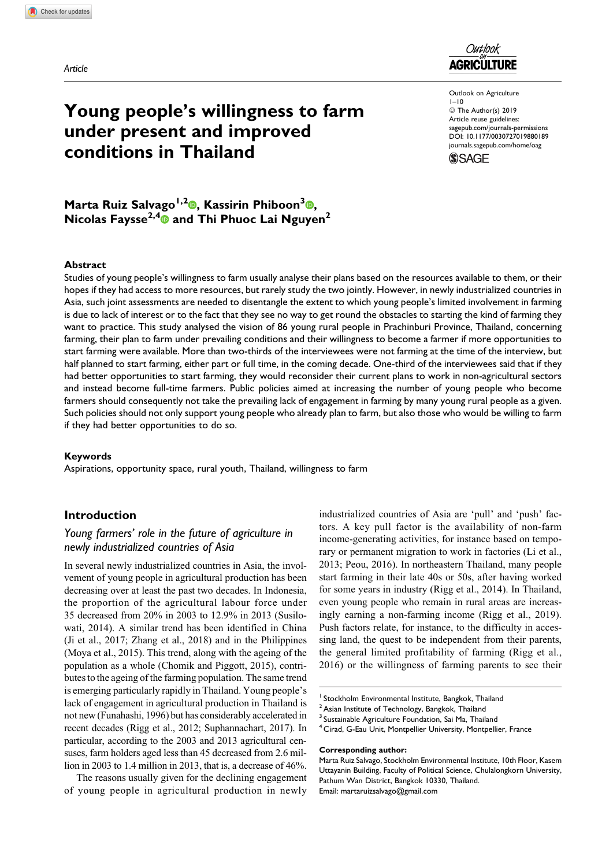

Outlook on Agriculture  $1 - 10$ © The Author(s) 2019 Article reuse guidelines: [sagepub.com/journals-permissions](https://sagepub.com/journals-permissions) [DOI: 10.1177/0030727019880189](https://doi.org/10.1177/0030727019880189) [journals.sagepub.com/home/oag](http://journals.sagepub.com/home/oag)**SSAGE** 

Marta Ruiz Salvago<sup>1[,](https://orcid.org/0000-0001-8428-2049)2</sup><sup>0</sup>, Kassirin Phiboon<sup>3</sup><sup>0</sup>, Nicolas Faysse<sup>2,4</sup> and Thi Phuoc Lai Nguyen<sup>2</sup>

under present and improved

conditions in Thailand

Young people's willingness to farm

#### Abstract

Studies of young people's willingness to farm usually analyse their plans based on the resources available to them, or their hopes if they had access to more resources, but rarely study the two jointly. However, in newly industrialized countries in Asia, such joint assessments are needed to disentangle the extent to which young people's limited involvement in farming is due to lack of interest or to the fact that they see no way to get round the obstacles to starting the kind of farming they want to practice. This study analysed the vision of 86 young rural people in Prachinburi Province, Thailand, concerning farming, their plan to farm under prevailing conditions and their willingness to become a farmer if more opportunities to start farming were available. More than two-thirds of the interviewees were not farming at the time of the interview, but half planned to start farming, either part or full time, in the coming decade. One-third of the interviewees said that if they had better opportunities to start farming, they would reconsider their current plans to work in non-agricultural sectors and instead become full-time farmers. Public policies aimed at increasing the number of young people who become farmers should consequently not take the prevailing lack of engagement in farming by many young rural people as a given. Such policies should not only support young people who already plan to farm, but also those who would be willing to farm if they had better opportunities to do so.

### Keywords

Aspirations, opportunity space, rural youth, Thailand, willingness to farm

# Introduction

# Young farmers' role in the future of agriculture in newly industrialized countries of Asia

In several newly industrialized countries in Asia, the involvement of young people in agricultural production has been decreasing over at least the past two decades. In Indonesia, the proportion of the agricultural labour force under 35 decreased from 20% in 2003 to 12.9% in 2013 (Susilowati, 2014). A similar trend has been identified in China (Ji et al., 2017; Zhang et al., 2018) and in the Philippines (Moya et al., 2015). This trend, along with the ageing of the population as a whole (Chomik and Piggott, 2015), contributes to the ageing of the farming population. The same trend is emerging particularly rapidly in Thailand. Young people's lack of engagement in agricultural production in Thailand is not new (Funahashi, 1996) but has considerably accelerated in recent decades (Rigg et al., 2012; Suphannachart, 2017). In particular, according to the 2003 and 2013 agricultural censuses, farm holders aged less than 45 decreased from 2.6 million in 2003 to 1.4 million in 2013, that is, a decrease of 46%.

The reasons usually given for the declining engagement of young people in agricultural production in newly

industrialized countries of Asia are 'pull' and 'push' factors. A key pull factor is the availability of non-farm income-generating activities, for instance based on temporary or permanent migration to work in factories (Li et al., 2013; Peou, 2016). In northeastern Thailand, many people start farming in their late 40s or 50s, after having worked for some years in industry (Rigg et al., 2014). In Thailand, even young people who remain in rural areas are increasingly earning a non-farming income (Rigg et al., 2019). Push factors relate, for instance, to the difficulty in accessing land, the quest to be independent from their parents, the general limited profitability of farming (Rigg et al., 2016) or the willingness of farming parents to see their

#### Corresponding author:

<sup>&</sup>lt;sup>1</sup> Stockholm Environmental Institute, Bangkok, Thailand

 $2$  Asian Institute of Technology, Bangkok, Thailand

<sup>&</sup>lt;sup>3</sup> Sustainable Agriculture Foundation, Sai Ma, Thailand

<sup>4</sup> Cirad, G-Eau Unit, Montpellier University, Montpellier, France

Marta Ruiz Salvago, Stockholm Environmental Institute, 10th Floor, Kasem Uttayanin Building, Faculty of Political Science, Chulalongkorn University, Pathum Wan District, Bangkok 10330, Thailand. Email: [martaruizsalvago@gmail.com](mailto:martaruizsalvago@gmail.com)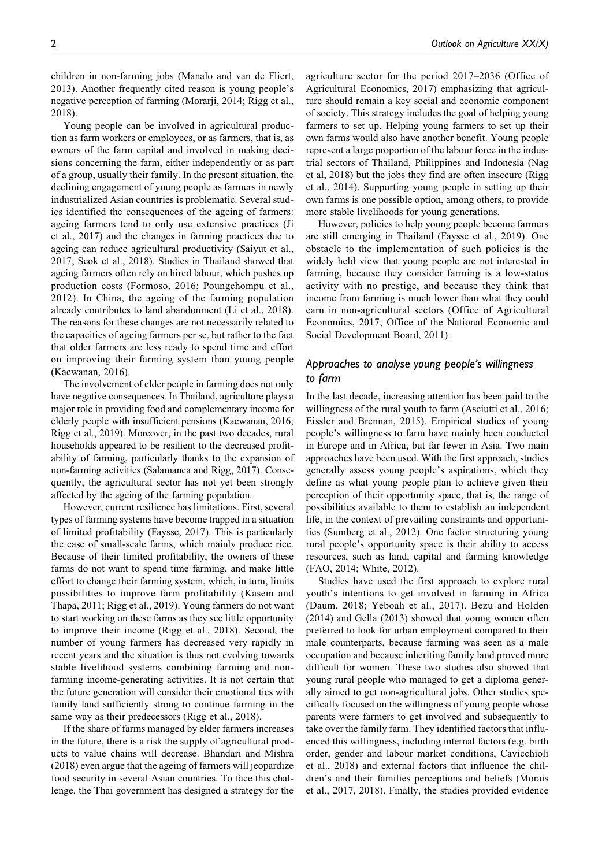children in non-farming jobs (Manalo and van de Fliert, 2013). Another frequently cited reason is young people's negative perception of farming (Morarji, 2014; Rigg et al., 2018).

Young people can be involved in agricultural production as farm workers or employees, or as farmers, that is, as owners of the farm capital and involved in making decisions concerning the farm, either independently or as part of a group, usually their family. In the present situation, the declining engagement of young people as farmers in newly industrialized Asian countries is problematic. Several studies identified the consequences of the ageing of farmers: ageing farmers tend to only use extensive practices (Ji et al., 2017) and the changes in farming practices due to ageing can reduce agricultural productivity (Saiyut et al., 2017; Seok et al., 2018). Studies in Thailand showed that ageing farmers often rely on hired labour, which pushes up production costs (Formoso, 2016; Poungchompu et al., 2012). In China, the ageing of the farming population already contributes to land abandonment (Li et al., 2018). The reasons for these changes are not necessarily related to the capacities of ageing farmers per se, but rather to the fact that older farmers are less ready to spend time and effort on improving their farming system than young people (Kaewanan, 2016).

The involvement of elder people in farming does not only have negative consequences. In Thailand, agriculture plays a major role in providing food and complementary income for elderly people with insufficient pensions (Kaewanan, 2016; Rigg et al., 2019). Moreover, in the past two decades, rural households appeared to be resilient to the decreased profitability of farming, particularly thanks to the expansion of non-farming activities (Salamanca and Rigg, 2017). Consequently, the agricultural sector has not yet been strongly affected by the ageing of the farming population.

However, current resilience has limitations. First, several types of farming systems have become trapped in a situation of limited profitability (Faysse, 2017). This is particularly the case of small-scale farms, which mainly produce rice. Because of their limited profitability, the owners of these farms do not want to spend time farming, and make little effort to change their farming system, which, in turn, limits possibilities to improve farm profitability (Kasem and Thapa, 2011; Rigg et al., 2019). Young farmers do not want to start working on these farms as they see little opportunity to improve their income (Rigg et al., 2018). Second, the number of young farmers has decreased very rapidly in recent years and the situation is thus not evolving towards stable livelihood systems combining farming and nonfarming income-generating activities. It is not certain that the future generation will consider their emotional ties with family land sufficiently strong to continue farming in the same way as their predecessors (Rigg et al., 2018).

If the share of farms managed by elder farmers increases in the future, there is a risk the supply of agricultural products to value chains will decrease. Bhandari and Mishra (2018) even argue that the ageing of farmers will jeopardize food security in several Asian countries. To face this challenge, the Thai government has designed a strategy for the agriculture sector for the period 2017–2036 (Office of Agricultural Economics, 2017) emphasizing that agriculture should remain a key social and economic component of society. This strategy includes the goal of helping young farmers to set up. Helping young farmers to set up their own farms would also have another benefit. Young people represent a large proportion of the labour force in the industrial sectors of Thailand, Philippines and Indonesia (Nag et al, 2018) but the jobs they find are often insecure (Rigg et al., 2014). Supporting young people in setting up their own farms is one possible option, among others, to provide more stable livelihoods for young generations.

However, policies to help young people become farmers are still emerging in Thailand (Faysse et al., 2019). One obstacle to the implementation of such policies is the widely held view that young people are not interested in farming, because they consider farming is a low-status activity with no prestige, and because they think that income from farming is much lower than what they could earn in non-agricultural sectors (Office of Agricultural Economics, 2017; Office of the National Economic and Social Development Board, 2011).

# Approaches to analyse young people's willingness to farm

In the last decade, increasing attention has been paid to the willingness of the rural youth to farm (Asciutti et al., 2016; Eissler and Brennan, 2015). Empirical studies of young people's willingness to farm have mainly been conducted in Europe and in Africa, but far fewer in Asia. Two main approaches have been used. With the first approach, studies generally assess young people's aspirations, which they define as what young people plan to achieve given their perception of their opportunity space, that is, the range of possibilities available to them to establish an independent life, in the context of prevailing constraints and opportunities (Sumberg et al., 2012). One factor structuring young rural people's opportunity space is their ability to access resources, such as land, capital and farming knowledge (FAO, 2014; White, 2012).

Studies have used the first approach to explore rural youth's intentions to get involved in farming in Africa (Daum, 2018; Yeboah et al., 2017). Bezu and Holden (2014) and Gella (2013) showed that young women often preferred to look for urban employment compared to their male counterparts, because farming was seen as a male occupation and because inheriting family land proved more difficult for women. These two studies also showed that young rural people who managed to get a diploma generally aimed to get non-agricultural jobs. Other studies specifically focused on the willingness of young people whose parents were farmers to get involved and subsequently to take over the family farm. They identified factors that influenced this willingness, including internal factors (e.g. birth order, gender and labour market conditions, Cavicchioli et al., 2018) and external factors that influence the children's and their families perceptions and beliefs (Morais et al., 2017, 2018). Finally, the studies provided evidence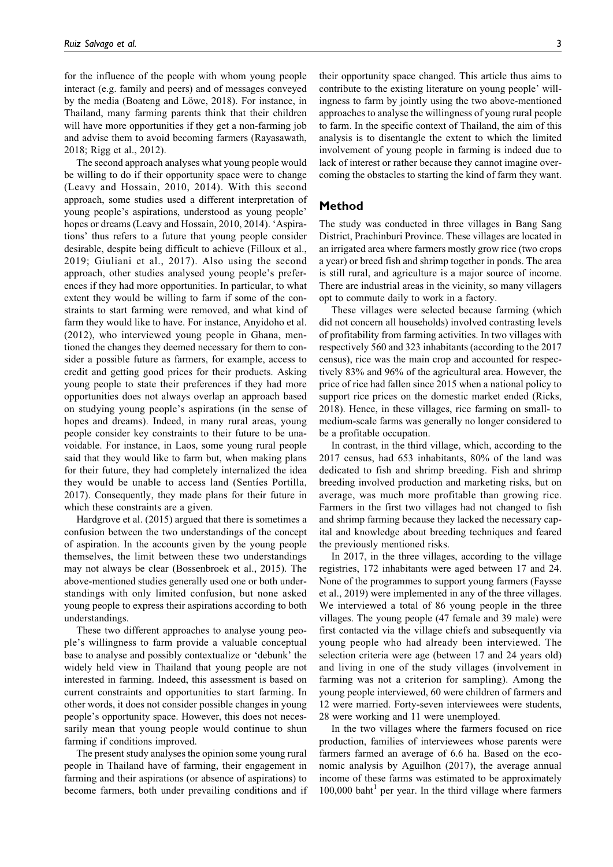for the influence of the people with whom young people interact (e.g. family and peers) and of messages conveyed by the media (Boateng and Löwe, 2018). For instance, in Thailand, many farming parents think that their children will have more opportunities if they get a non-farming job and advise them to avoid becoming farmers (Rayasawath, 2018; Rigg et al., 2012).

The second approach analyses what young people would be willing to do if their opportunity space were to change (Leavy and Hossain, 2010, 2014). With this second approach, some studies used a different interpretation of young people's aspirations, understood as young people' hopes or dreams (Leavy and Hossain, 2010, 2014). 'Aspirations' thus refers to a future that young people consider desirable, despite being difficult to achieve (Filloux et al., 2019; Giuliani et al., 2017). Also using the second approach, other studies analysed young people's preferences if they had more opportunities. In particular, to what extent they would be willing to farm if some of the constraints to start farming were removed, and what kind of farm they would like to have. For instance, Anyidoho et al. (2012), who interviewed young people in Ghana, mentioned the changes they deemed necessary for them to consider a possible future as farmers, for example, access to credit and getting good prices for their products. Asking young people to state their preferences if they had more opportunities does not always overlap an approach based on studying young people's aspirations (in the sense of hopes and dreams). Indeed, in many rural areas, young people consider key constraints to their future to be unavoidable. For instance, in Laos, some young rural people said that they would like to farm but, when making plans for their future, they had completely internalized the idea they would be unable to access land (Senties Portilla, 2017). Consequently, they made plans for their future in which these constraints are a given.

Hardgrove et al. (2015) argued that there is sometimes a confusion between the two understandings of the concept of aspiration. In the accounts given by the young people themselves, the limit between these two understandings may not always be clear (Bossenbroek et al., 2015). The above-mentioned studies generally used one or both understandings with only limited confusion, but none asked young people to express their aspirations according to both understandings.

These two different approaches to analyse young people's willingness to farm provide a valuable conceptual base to analyse and possibly contextualize or 'debunk' the widely held view in Thailand that young people are not interested in farming. Indeed, this assessment is based on current constraints and opportunities to start farming. In other words, it does not consider possible changes in young people's opportunity space. However, this does not necessarily mean that young people would continue to shun farming if conditions improved.

The present study analyses the opinion some young rural people in Thailand have of farming, their engagement in farming and their aspirations (or absence of aspirations) to become farmers, both under prevailing conditions and if their opportunity space changed. This article thus aims to contribute to the existing literature on young people' willingness to farm by jointly using the two above-mentioned approaches to analyse the willingness of young rural people to farm. In the specific context of Thailand, the aim of this analysis is to disentangle the extent to which the limited involvement of young people in farming is indeed due to lack of interest or rather because they cannot imagine overcoming the obstacles to starting the kind of farm they want.

## Method

The study was conducted in three villages in Bang Sang District, Prachinburi Province. These villages are located in an irrigated area where farmers mostly grow rice (two crops a year) or breed fish and shrimp together in ponds. The area is still rural, and agriculture is a major source of income. There are industrial areas in the vicinity, so many villagers opt to commute daily to work in a factory.

These villages were selected because farming (which did not concern all households) involved contrasting levels of profitability from farming activities. In two villages with respectively 560 and 323 inhabitants (according to the 2017 census), rice was the main crop and accounted for respectively 83% and 96% of the agricultural area. However, the price of rice had fallen since 2015 when a national policy to support rice prices on the domestic market ended (Ricks, 2018). Hence, in these villages, rice farming on small- to medium-scale farms was generally no longer considered to be a profitable occupation.

In contrast, in the third village, which, according to the 2017 census, had 653 inhabitants, 80% of the land was dedicated to fish and shrimp breeding. Fish and shrimp breeding involved production and marketing risks, but on average, was much more profitable than growing rice. Farmers in the first two villages had not changed to fish and shrimp farming because they lacked the necessary capital and knowledge about breeding techniques and feared the previously mentioned risks.

In 2017, in the three villages, according to the village registries, 172 inhabitants were aged between 17 and 24. None of the programmes to support young farmers (Faysse et al., 2019) were implemented in any of the three villages. We interviewed a total of 86 young people in the three villages. The young people (47 female and 39 male) were first contacted via the village chiefs and subsequently via young people who had already been interviewed. The selection criteria were age (between 17 and 24 years old) and living in one of the study villages (involvement in farming was not a criterion for sampling). Among the young people interviewed, 60 were children of farmers and 12 were married. Forty-seven interviewees were students, 28 were working and 11 were unemployed.

In the two villages where the farmers focused on rice production, families of interviewees whose parents were farmers farmed an average of 6.6 ha. Based on the economic analysis by Aguilhon (2017), the average annual income of these farms was estimated to be approximately  $100,000$  baht<sup>1</sup> per year. In the third village where farmers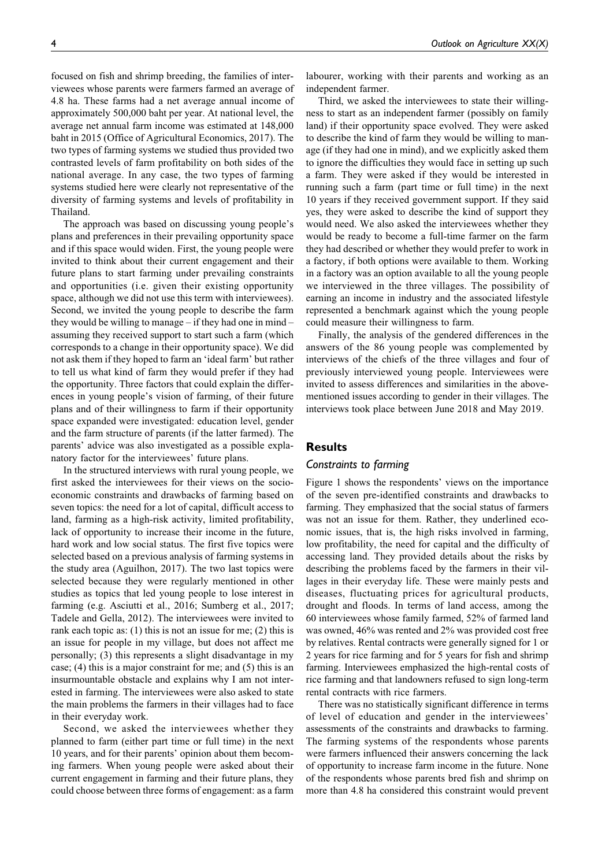focused on fish and shrimp breeding, the families of interviewees whose parents were farmers farmed an average of 4.8 ha. These farms had a net average annual income of approximately 500,000 baht per year. At national level, the average net annual farm income was estimated at 148,000 baht in 2015 (Office of Agricultural Economics, 2017). The two types of farming systems we studied thus provided two contrasted levels of farm profitability on both sides of the national average. In any case, the two types of farming systems studied here were clearly not representative of the diversity of farming systems and levels of profitability in Thailand.

The approach was based on discussing young people's plans and preferences in their prevailing opportunity space and if this space would widen. First, the young people were invited to think about their current engagement and their future plans to start farming under prevailing constraints and opportunities (i.e. given their existing opportunity space, although we did not use this term with interviewees). Second, we invited the young people to describe the farm they would be willing to manage  $-$  if they had one in mind  $$ assuming they received support to start such a farm (which corresponds to a change in their opportunity space). We did not ask them if they hoped to farm an 'ideal farm' but rather to tell us what kind of farm they would prefer if they had the opportunity. Three factors that could explain the differences in young people's vision of farming, of their future plans and of their willingness to farm if their opportunity space expanded were investigated: education level, gender and the farm structure of parents (if the latter farmed). The parents' advice was also investigated as a possible explanatory factor for the interviewees' future plans.

In the structured interviews with rural young people, we first asked the interviewees for their views on the socioeconomic constraints and drawbacks of farming based on seven topics: the need for a lot of capital, difficult access to land, farming as a high-risk activity, limited profitability, lack of opportunity to increase their income in the future, hard work and low social status. The first five topics were selected based on a previous analysis of farming systems in the study area (Aguilhon, 2017). The two last topics were selected because they were regularly mentioned in other studies as topics that led young people to lose interest in farming (e.g. Asciutti et al., 2016; Sumberg et al., 2017; Tadele and Gella, 2012). The interviewees were invited to rank each topic as: (1) this is not an issue for me; (2) this is an issue for people in my village, but does not affect me personally; (3) this represents a slight disadvantage in my case; (4) this is a major constraint for me; and (5) this is an insurmountable obstacle and explains why I am not interested in farming. The interviewees were also asked to state the main problems the farmers in their villages had to face in their everyday work.

Second, we asked the interviewees whether they planned to farm (either part time or full time) in the next 10 years, and for their parents' opinion about them becoming farmers. When young people were asked about their current engagement in farming and their future plans, they could choose between three forms of engagement: as a farm labourer, working with their parents and working as an independent farmer.

Third, we asked the interviewees to state their willingness to start as an independent farmer (possibly on family land) if their opportunity space evolved. They were asked to describe the kind of farm they would be willing to manage (if they had one in mind), and we explicitly asked them to ignore the difficulties they would face in setting up such a farm. They were asked if they would be interested in running such a farm (part time or full time) in the next 10 years if they received government support. If they said yes, they were asked to describe the kind of support they would need. We also asked the interviewees whether they would be ready to become a full-time farmer on the farm they had described or whether they would prefer to work in a factory, if both options were available to them. Working in a factory was an option available to all the young people we interviewed in the three villages. The possibility of earning an income in industry and the associated lifestyle represented a benchmark against which the young people could measure their willingness to farm.

Finally, the analysis of the gendered differences in the answers of the 86 young people was complemented by interviews of the chiefs of the three villages and four of previously interviewed young people. Interviewees were invited to assess differences and similarities in the abovementioned issues according to gender in their villages. The interviews took place between June 2018 and May 2019.

### Results

#### Constraints to farming

Figure 1 shows the respondents' views on the importance of the seven pre-identified constraints and drawbacks to farming. They emphasized that the social status of farmers was not an issue for them. Rather, they underlined economic issues, that is, the high risks involved in farming, low profitability, the need for capital and the difficulty of accessing land. They provided details about the risks by describing the problems faced by the farmers in their villages in their everyday life. These were mainly pests and diseases, fluctuating prices for agricultural products, drought and floods. In terms of land access, among the 60 interviewees whose family farmed, 52% of farmed land was owned, 46% was rented and 2% was provided cost free by relatives. Rental contracts were generally signed for 1 or 2 years for rice farming and for 5 years for fish and shrimp farming. Interviewees emphasized the high-rental costs of rice farming and that landowners refused to sign long-term rental contracts with rice farmers.

There was no statistically significant difference in terms of level of education and gender in the interviewees' assessments of the constraints and drawbacks to farming. The farming systems of the respondents whose parents were farmers influenced their answers concerning the lack of opportunity to increase farm income in the future. None of the respondents whose parents bred fish and shrimp on more than 4.8 ha considered this constraint would prevent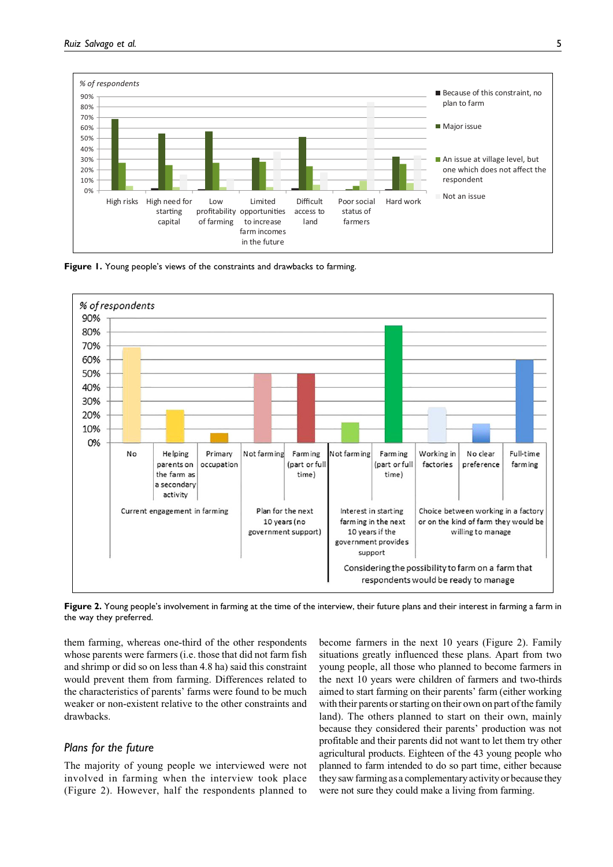

Figure 1. Young people's views of the constraints and drawbacks to farming.



Figure 2. Young people's involvement in farming at the time of the interview, their future plans and their interest in farming a farm in the way they preferred.

them farming, whereas one-third of the other respondents whose parents were farmers (i.e. those that did not farm fish and shrimp or did so on less than 4.8 ha) said this constraint would prevent them from farming. Differences related to the characteristics of parents' farms were found to be much weaker or non-existent relative to the other constraints and drawbacks.

# Plans for the future

The majority of young people we interviewed were not involved in farming when the interview took place (Figure 2). However, half the respondents planned to

become farmers in the next 10 years (Figure 2). Family situations greatly influenced these plans. Apart from two young people, all those who planned to become farmers in the next 10 years were children of farmers and two-thirds aimed to start farming on their parents' farm (either working with their parents or starting on their own on part of the family land). The others planned to start on their own, mainly because they considered their parents' production was not profitable and their parents did not want to let them try other agricultural products. Eighteen of the 43 young people who planned to farm intended to do so part time, either because they saw farming as a complementary activity or because they were not sure they could make a living from farming.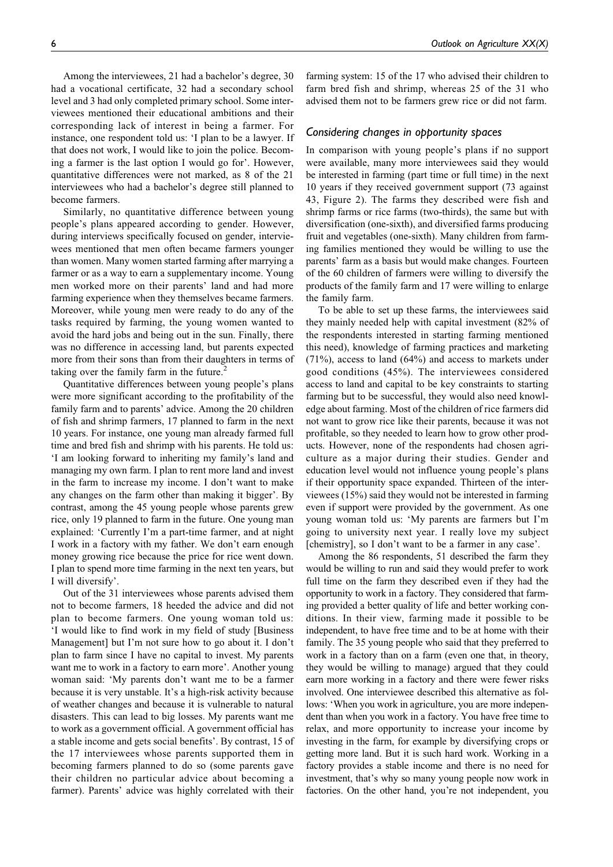level and 3 had only completed primary school. Some interviewees mentioned their educational ambitions and their corresponding lack of interest in being a farmer. For instance, one respondent told us: 'I plan to be a lawyer. If that does not work, I would like to join the police. Becoming a farmer is the last option I would go for'. However, quantitative differences were not marked, as 8 of the 21 interviewees who had a bachelor's degree still planned to become farmers.

Similarly, no quantitative difference between young people's plans appeared according to gender. However, during interviews specifically focused on gender, interviewees mentioned that men often became farmers younger than women. Many women started farming after marrying a farmer or as a way to earn a supplementary income. Young men worked more on their parents' land and had more farming experience when they themselves became farmers. Moreover, while young men were ready to do any of the tasks required by farming, the young women wanted to avoid the hard jobs and being out in the sun. Finally, there was no difference in accessing land, but parents expected more from their sons than from their daughters in terms of taking over the family farm in the future.<sup>2</sup>

Quantitative differences between young people's plans were more significant according to the profitability of the family farm and to parents' advice. Among the 20 children of fish and shrimp farmers, 17 planned to farm in the next 10 years. For instance, one young man already farmed full time and bred fish and shrimp with his parents. He told us: 'I am looking forward to inheriting my family's land and managing my own farm. I plan to rent more land and invest in the farm to increase my income. I don't want to make any changes on the farm other than making it bigger'. By contrast, among the 45 young people whose parents grew rice, only 19 planned to farm in the future. One young man explained: 'Currently I'm a part-time farmer, and at night I work in a factory with my father. We don't earn enough money growing rice because the price for rice went down. I plan to spend more time farming in the next ten years, but I will diversify'.

Out of the 31 interviewees whose parents advised them not to become farmers, 18 heeded the advice and did not plan to become farmers. One young woman told us: 'I would like to find work in my field of study [Business Management] but I'm not sure how to go about it. I don't plan to farm since I have no capital to invest. My parents want me to work in a factory to earn more'. Another young woman said: 'My parents don't want me to be a farmer because it is very unstable. It's a high-risk activity because of weather changes and because it is vulnerable to natural disasters. This can lead to big losses. My parents want me to work as a government official. A government official has a stable income and gets social benefits'. By contrast, 15 of the 17 interviewees whose parents supported them in becoming farmers planned to do so (some parents gave their children no particular advice about becoming a farmer). Parents' advice was highly correlated with their

farming system: 15 of the 17 who advised their children to farm bred fish and shrimp, whereas 25 of the 31 who advised them not to be farmers grew rice or did not farm.

### Considering changes in opportunity spaces

In comparison with young people's plans if no support were available, many more interviewees said they would be interested in farming (part time or full time) in the next 10 years if they received government support (73 against 43, Figure 2). The farms they described were fish and shrimp farms or rice farms (two-thirds), the same but with diversification (one-sixth), and diversified farms producing fruit and vegetables (one-sixth). Many children from farming families mentioned they would be willing to use the parents' farm as a basis but would make changes. Fourteen of the 60 children of farmers were willing to diversify the products of the family farm and 17 were willing to enlarge the family farm.

To be able to set up these farms, the interviewees said they mainly needed help with capital investment (82% of the respondents interested in starting farming mentioned this need), knowledge of farming practices and marketing (71%), access to land (64%) and access to markets under good conditions (45%). The interviewees considered access to land and capital to be key constraints to starting farming but to be successful, they would also need knowledge about farming. Most of the children of rice farmers did not want to grow rice like their parents, because it was not profitable, so they needed to learn how to grow other products. However, none of the respondents had chosen agriculture as a major during their studies. Gender and education level would not influence young people's plans if their opportunity space expanded. Thirteen of the interviewees (15%) said they would not be interested in farming even if support were provided by the government. As one young woman told us: 'My parents are farmers but I'm going to university next year. I really love my subject [chemistry], so I don't want to be a farmer in any case'.

Among the 86 respondents, 51 described the farm they would be willing to run and said they would prefer to work full time on the farm they described even if they had the opportunity to work in a factory. They considered that farming provided a better quality of life and better working conditions. In their view, farming made it possible to be independent, to have free time and to be at home with their family. The 35 young people who said that they preferred to work in a factory than on a farm (even one that, in theory, they would be willing to manage) argued that they could earn more working in a factory and there were fewer risks involved. One interviewee described this alternative as follows: 'When you work in agriculture, you are more independent than when you work in a factory. You have free time to relax, and more opportunity to increase your income by investing in the farm, for example by diversifying crops or getting more land. But it is such hard work. Working in a factory provides a stable income and there is no need for investment, that's why so many young people now work in factories. On the other hand, you're not independent, you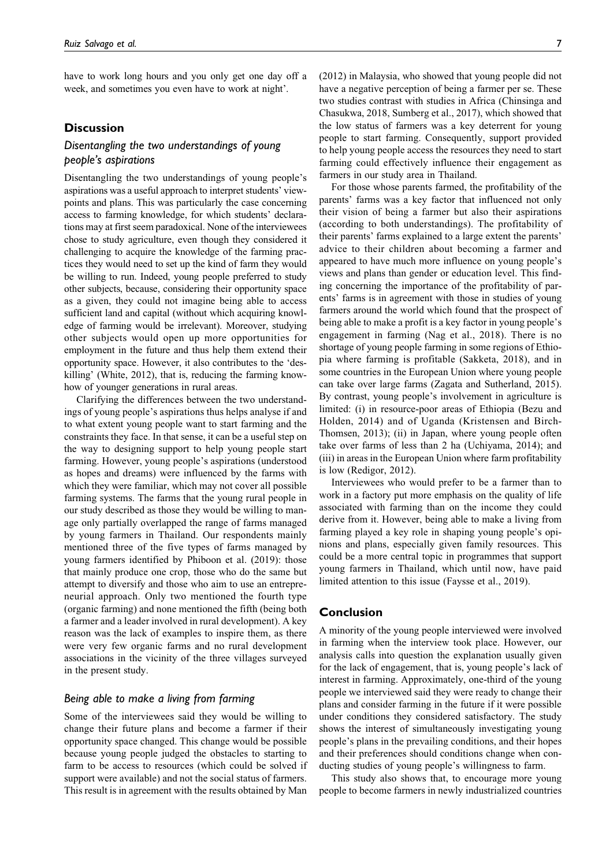have to work long hours and you only get one day off a week, and sometimes you even have to work at night'.

# **Discussion**

# Disentangling the two understandings of young people's aspirations

Disentangling the two understandings of young people's aspirations was a useful approach to interpret students' viewpoints and plans. This was particularly the case concerning access to farming knowledge, for which students' declarations may at first seem paradoxical. None of the interviewees chose to study agriculture, even though they considered it challenging to acquire the knowledge of the farming practices they would need to set up the kind of farm they would be willing to run. Indeed, young people preferred to study other subjects, because, considering their opportunity space as a given, they could not imagine being able to access sufficient land and capital (without which acquiring knowledge of farming would be irrelevant). Moreover, studying other subjects would open up more opportunities for employment in the future and thus help them extend their opportunity space. However, it also contributes to the 'deskilling' (White, 2012), that is, reducing the farming knowhow of younger generations in rural areas.

Clarifying the differences between the two understandings of young people's aspirations thus helps analyse if and to what extent young people want to start farming and the constraints they face. In that sense, it can be a useful step on the way to designing support to help young people start farming. However, young people's aspirations (understood as hopes and dreams) were influenced by the farms with which they were familiar, which may not cover all possible farming systems. The farms that the young rural people in our study described as those they would be willing to manage only partially overlapped the range of farms managed by young farmers in Thailand. Our respondents mainly mentioned three of the five types of farms managed by young farmers identified by Phiboon et al. (2019): those that mainly produce one crop, those who do the same but attempt to diversify and those who aim to use an entrepreneurial approach. Only two mentioned the fourth type (organic farming) and none mentioned the fifth (being both a farmer and a leader involved in rural development). A key reason was the lack of examples to inspire them, as there were very few organic farms and no rural development associations in the vicinity of the three villages surveyed in the present study.

## Being able to make a living from farming

Some of the interviewees said they would be willing to change their future plans and become a farmer if their opportunity space changed. This change would be possible because young people judged the obstacles to starting to farm to be access to resources (which could be solved if support were available) and not the social status of farmers. This result is in agreement with the results obtained by Man

(2012) in Malaysia, who showed that young people did not have a negative perception of being a farmer per se. These two studies contrast with studies in Africa (Chinsinga and Chasukwa, 2018, Sumberg et al., 2017), which showed that the low status of farmers was a key deterrent for young people to start farming. Consequently, support provided to help young people access the resources they need to start farming could effectively influence their engagement as farmers in our study area in Thailand.

For those whose parents farmed, the profitability of the parents' farms was a key factor that influenced not only their vision of being a farmer but also their aspirations (according to both understandings). The profitability of their parents' farms explained to a large extent the parents' advice to their children about becoming a farmer and appeared to have much more influence on young people's views and plans than gender or education level. This finding concerning the importance of the profitability of parents' farms is in agreement with those in studies of young farmers around the world which found that the prospect of being able to make a profit is a key factor in young people's engagement in farming (Nag et al., 2018). There is no shortage of young people farming in some regions of Ethiopia where farming is profitable (Sakketa, 2018), and in some countries in the European Union where young people can take over large farms (Zagata and Sutherland, 2015). By contrast, young people's involvement in agriculture is limited: (i) in resource-poor areas of Ethiopia (Bezu and Holden, 2014) and of Uganda (Kristensen and Birch-Thomsen, 2013); (ii) in Japan, where young people often take over farms of less than 2 ha (Uchiyama, 2014); and (iii) in areas in the European Union where farm profitability is low (Redigor, 2012).

Interviewees who would prefer to be a farmer than to work in a factory put more emphasis on the quality of life associated with farming than on the income they could derive from it. However, being able to make a living from farming played a key role in shaping young people's opinions and plans, especially given family resources. This could be a more central topic in programmes that support young farmers in Thailand, which until now, have paid limited attention to this issue (Faysse et al., 2019).

# Conclusion

A minority of the young people interviewed were involved in farming when the interview took place. However, our analysis calls into question the explanation usually given for the lack of engagement, that is, young people's lack of interest in farming. Approximately, one-third of the young people we interviewed said they were ready to change their plans and consider farming in the future if it were possible under conditions they considered satisfactory. The study shows the interest of simultaneously investigating young people's plans in the prevailing conditions, and their hopes and their preferences should conditions change when conducting studies of young people's willingness to farm.

This study also shows that, to encourage more young people to become farmers in newly industrialized countries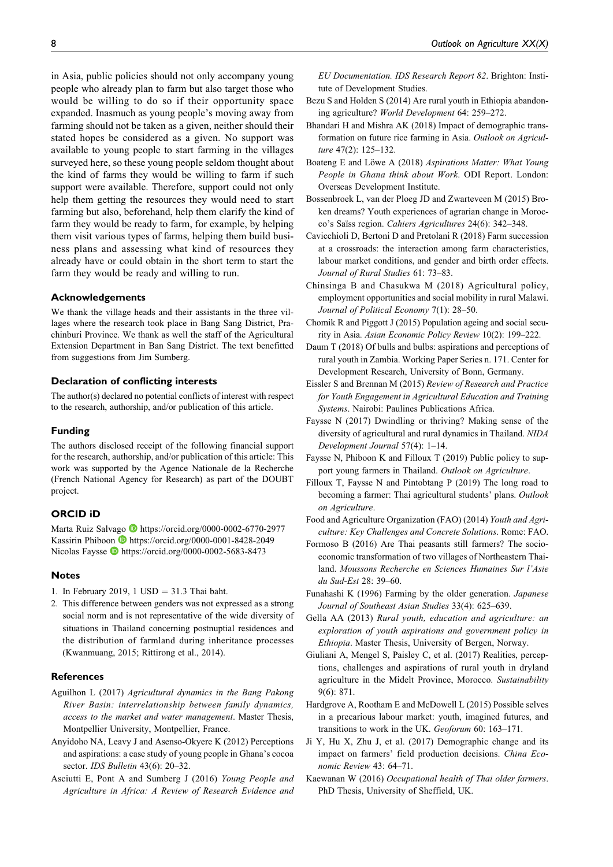in Asia, public policies should not only accompany young people who already plan to farm but also target those who would be willing to do so if their opportunity space expanded. Inasmuch as young people's moving away from farming should not be taken as a given, neither should their stated hopes be considered as a given. No support was available to young people to start farming in the villages surveyed here, so these young people seldom thought about the kind of farms they would be willing to farm if such support were available. Therefore, support could not only help them getting the resources they would need to start farming but also, beforehand, help them clarify the kind of farm they would be ready to farm, for example, by helping them visit various types of farms, helping them build business plans and assessing what kind of resources they already have or could obtain in the short term to start the farm they would be ready and willing to run.

### Acknowledgements

We thank the village heads and their assistants in the three villages where the research took place in Bang Sang District, Prachinburi Province. We thank as well the staff of the Agricultural Extension Department in Ban Sang District. The text benefitted from suggestions from Jim Sumberg.

## Declaration of conflicting interests

The author(s) declared no potential conflicts of interest with respect to the research, authorship, and/or publication of this article.

#### Funding

The authors disclosed receipt of the following financial support for the research, authorship, and/or publication of this article: This work was supported by the Agence Nationale de la Recherche (French National Agency for Research) as part of the DOUBT project.

# ORCID iD

Marta Ruiz Salvago **b** <https://orcid.org/0000-0002-6770-2977> Kassirin Phiboon <https://orcid.org/0000-0001-8428-2049> Nicolas Faysse D<https://orcid.org/0000-0002-5683-8473>

#### **Notes**

- 1. In February 2019, 1 USD =  $31.3$  Thai baht.
- 2. This difference between genders was not expressed as a strong social norm and is not representative of the wide diversity of situations in Thailand concerning postnuptial residences and the distribution of farmland during inheritance processes (Kwanmuang, 2015; Rittirong et al., 2014).

### **References**

- Aguilhon L (2017) Agricultural dynamics in the Bang Pakong River Basin: interrelationship between family dynamics, access to the market and water management. Master Thesis, Montpellier University, Montpellier, France.
- Anyidoho NA, Leavy J and Asenso-Okyere K (2012) Perceptions and aspirations: a case study of young people in Ghana's cocoa sector. IDS Bulletin 43(6): 20-32.
- Asciutti E, Pont A and Sumberg J (2016) Young People and Agriculture in Africa: A Review of Research Evidence and

EU Documentation. IDS Research Report 82. Brighton: Institute of Development Studies.

- Bezu S and Holden S (2014) Are rural youth in Ethiopia abandoning agriculture? World Development 64: 259–272.
- Bhandari H and Mishra AK (2018) Impact of demographic transformation on future rice farming in Asia. Outlook on Agriculture 47(2): 125–132.
- Boateng E and Löwe A (2018) Aspirations Matter: What Young People in Ghana think about Work. ODI Report. London: Overseas Development Institute.
- Bossenbroek L, van der Ploeg JD and Zwarteveen M (2015) Broken dreams? Youth experiences of agrarian change in Morocco's Saïss region. Cahiers Agricultures 24(6): 342-348.
- Cavicchioli D, Bertoni D and Pretolani R (2018) Farm succession at a crossroads: the interaction among farm characteristics, labour market conditions, and gender and birth order effects. Journal of Rural Studies 61: 73–83.
- Chinsinga B and Chasukwa M (2018) Agricultural policy, employment opportunities and social mobility in rural Malawi. Journal of Political Economy 7(1): 28–50.
- Chomik R and Piggott J (2015) Population ageing and social security in Asia. Asian Economic Policy Review 10(2): 199–222.
- Daum T (2018) Of bulls and bulbs: aspirations and perceptions of rural youth in Zambia. Working Paper Series n. 171. Center for Development Research, University of Bonn, Germany.
- Eissler S and Brennan M (2015) Review of Research and Practice for Youth Engagement in Agricultural Education and Training Systems. Nairobi: Paulines Publications Africa.
- Faysse N (2017) Dwindling or thriving? Making sense of the diversity of agricultural and rural dynamics in Thailand. NIDA Development Journal 57(4): 1–14.
- Faysse N, Phiboon K and Filloux T (2019) Public policy to support young farmers in Thailand. Outlook on Agriculture.
- Filloux T, Faysse N and Pintobtang P (2019) The long road to becoming a farmer: Thai agricultural students' plans. Outlook on Agriculture.
- Food and Agriculture Organization (FAO) (2014) Youth and Agriculture: Key Challenges and Concrete Solutions. Rome: FAO.
- Formoso B (2016) Are Thai peasants still farmers? The socioeconomic transformation of two villages of Northeastern Thailand. Moussons Recherche en Sciences Humaines Sur l'Asie du Sud-Est 28: 39–60.
- Funahashi K (1996) Farming by the older generation. Japanese Journal of Southeast Asian Studies 33(4): 625–639.
- Gella AA (2013) Rural youth, education and agriculture: an exploration of youth aspirations and government policy in Ethiopia. Master Thesis, University of Bergen, Norway.
- Giuliani A, Mengel S, Paisley C, et al. (2017) Realities, perceptions, challenges and aspirations of rural youth in dryland agriculture in the Midelt Province, Morocco. Sustainability 9(6): 871.
- Hardgrove A, Rootham E and McDowell L (2015) Possible selves in a precarious labour market: youth, imagined futures, and transitions to work in the UK. Geoforum 60: 163–171.
- Ji Y, Hu X, Zhu J, et al. (2017) Demographic change and its impact on farmers' field production decisions. China Economic Review 43: 64–71.
- Kaewanan W (2016) Occupational health of Thai older farmers. PhD Thesis, University of Sheffield, UK.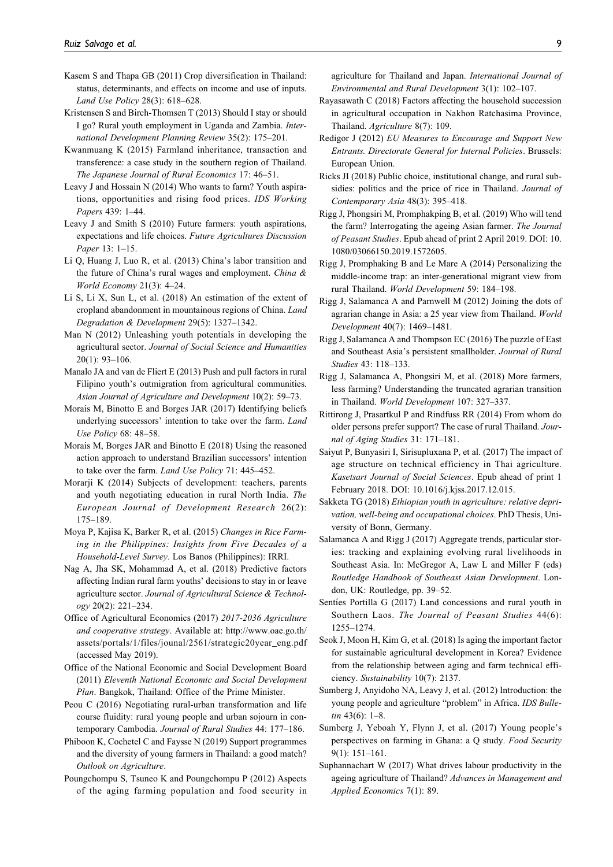- Kasem S and Thapa GB (2011) Crop diversification in Thailand: status, determinants, and effects on income and use of inputs. Land Use Policy 28(3): 618–628.
- Kristensen S and Birch-Thomsen T (2013) Should I stay or should I go? Rural youth employment in Uganda and Zambia. International Development Planning Review 35(2): 175–201.
- Kwanmuang K (2015) Farmland inheritance, transaction and transference: a case study in the southern region of Thailand. The Japanese Journal of Rural Economics 17: 46–51.
- Leavy J and Hossain N (2014) Who wants to farm? Youth aspirations, opportunities and rising food prices. IDS Working Papers 439: 1–44.
- Leavy J and Smith S (2010) Future farmers: youth aspirations, expectations and life choices. Future Agricultures Discussion Paper 13: 1–15.
- Li Q, Huang J, Luo R, et al. (2013) China's labor transition and the future of China's rural wages and employment. China & World Economy 21(3): 4–24.
- Li S, Li X, Sun L, et al. (2018) An estimation of the extent of cropland abandonment in mountainous regions of China. Land Degradation & Development 29(5): 1327–1342.
- Man N (2012) Unleashing youth potentials in developing the agricultural sector. Journal of Social Science and Humanities 20(1): 93–106.
- Manalo JA and van de Fliert E (2013) Push and pull factors in rural Filipino youth's outmigration from agricultural communities. Asian Journal of Agriculture and Development 10(2): 59–73.
- Morais M, Binotto E and Borges JAR (2017) Identifying beliefs underlying successors' intention to take over the farm. Land Use Policy 68: 48–58.
- Morais M, Borges JAR and Binotto E (2018) Using the reasoned action approach to understand Brazilian successors' intention to take over the farm. Land Use Policy 71: 445–452.
- Morarji K (2014) Subjects of development: teachers, parents and youth negotiating education in rural North India. The European Journal of Development Research 26(2): 175–189.
- Moya P, Kajisa K, Barker R, et al. (2015) Changes in Rice Farming in the Philippines: Insights from Five Decades of a Household-Level Survey. Los Banos (Philippines): IRRI.
- Nag A, Jha SK, Mohammad A, et al. (2018) Predictive factors affecting Indian rural farm youths' decisions to stay in or leave agriculture sector. Journal of Agricultural Science & Technology 20(2): 221–234.
- Office of Agricultural Economics (2017) 2017-2036 Agriculture and cooperative strategy. Available at: [http://www.oae.go.th/](http://www.oae.go.th/assets/portals/1/files/jounal/2561/strategic20year_eng.pdf) [assets/portals/1/files/jounal/2561/strategic20year\\_eng.pdf](http://www.oae.go.th/assets/portals/1/files/jounal/2561/strategic20year_eng.pdf) (accessed May 2019).
- Office of the National Economic and Social Development Board (2011) Eleventh National Economic and Social Development Plan. Bangkok, Thailand: Office of the Prime Minister.
- Peou C (2016) Negotiating rural-urban transformation and life course fluidity: rural young people and urban sojourn in contemporary Cambodia. Journal of Rural Studies 44: 177–186.
- Phiboon K, Cochetel C and Faysse N (2019) Support programmes and the diversity of young farmers in Thailand: a good match? Outlook on Agriculture.
- Poungchompu S, Tsuneo K and Poungchompu P (2012) Aspects of the aging farming population and food security in

agriculture for Thailand and Japan. International Journal of Environmental and Rural Development 3(1): 102–107.

- Rayasawath C (2018) Factors affecting the household succession in agricultural occupation in Nakhon Ratchasima Province, Thailand. Agriculture 8(7): 109.
- Redigor J (2012) EU Measures to Encourage and Support New Entrants. Directorate General for Internal Policies. Brussels: European Union.
- Ricks JI (2018) Public choice, institutional change, and rural subsidies: politics and the price of rice in Thailand. Journal of Contemporary Asia 48(3): 395–418.
- Rigg J, Phongsiri M, Promphakping B, et al. (2019) Who will tend the farm? Interrogating the ageing Asian farmer. The Journal of Peasant Studies. Epub ahead of print 2 April 2019. DOI: 10. 1080/03066150.2019.1572605.
- Rigg J, Promphaking B and Le Mare A (2014) Personalizing the middle-income trap: an inter-generational migrant view from rural Thailand. World Development 59: 184–198.
- Rigg J, Salamanca A and Parnwell M (2012) Joining the dots of agrarian change in Asia: a 25 year view from Thailand. World Development 40(7): 1469–1481.
- Rigg J, Salamanca A and Thompson EC (2016) The puzzle of East and Southeast Asia's persistent smallholder. Journal of Rural Studies 43: 118–133.
- Rigg J, Salamanca A, Phongsiri M, et al. (2018) More farmers, less farming? Understanding the truncated agrarian transition in Thailand. World Development 107: 327–337.
- Rittirong J, Prasartkul P and Rindfuss RR (2014) From whom do older persons prefer support? The case of rural Thailand. Journal of Aging Studies 31: 171–181.
- Saiyut P, Bunyasiri I, Sirisupluxana P, et al. (2017) The impact of age structure on technical efficiency in Thai agriculture. Kasetsart Journal of Social Sciences. Epub ahead of print 1 February 2018. DOI: 10.1016/j.kjss.2017.12.015.
- Sakketa TG (2018) Ethiopian youth in agriculture: relative deprivation, well-being and occupational choices. PhD Thesis, University of Bonn, Germany.
- Salamanca A and Rigg J (2017) Aggregate trends, particular stories: tracking and explaining evolving rural livelihoods in Southeast Asia. In: McGregor A, Law L and Miller F (eds) Routledge Handbook of Southeast Asian Development. London, UK: Routledge, pp. 39–52.
- Sentíes Portilla G (2017) Land concessions and rural youth in Southern Laos. The Journal of Peasant Studies 44(6): 1255–1274.
- Seok J, Moon H, Kim G, et al. (2018) Is aging the important factor for sustainable agricultural development in Korea? Evidence from the relationship between aging and farm technical efficiency. Sustainability 10(7): 2137.
- Sumberg J, Anyidoho NA, Leavy J, et al. (2012) Introduction: the young people and agriculture "problem" in Africa. IDS Bulletin 43(6): 1–8.
- Sumberg J, Yeboah Y, Flynn J, et al. (2017) Young people's perspectives on farming in Ghana: a Q study. Food Security 9(1): 151–161.
- Suphannachart W (2017) What drives labour productivity in the ageing agriculture of Thailand? Advances in Management and Applied Economics 7(1): 89.